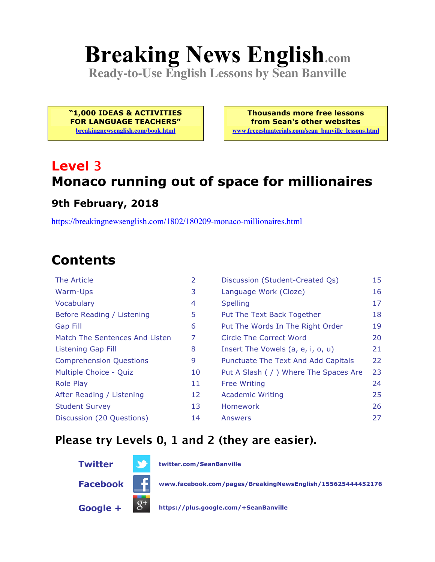# **Breaking News English.com**

**Ready-to-Use English Lessons by Sean Banville**

**"1,000 IDEAS & ACTIVITIES FOR LANGUAGE TEACHERS" breakingnewsenglish.com/book.html**

**Thousands more free lessons from Sean's other websites www.freeeslmaterials.com/sean\_banville\_lessons.html**

## **Level 3 Monaco running out of space for millionaires**

#### **9th February, 2018**

https://breakingnewsenglish.com/1802/180209-monaco-millionaires.html

## **Contents**

| The Article                    | $\overline{2}$ | Discussion (Student-Created Qs)        | 15 |
|--------------------------------|----------------|----------------------------------------|----|
| Warm-Ups                       | 3              | Language Work (Cloze)                  | 16 |
| Vocabulary                     | 4              | <b>Spelling</b>                        | 17 |
| Before Reading / Listening     | 5              | Put The Text Back Together             | 18 |
| <b>Gap Fill</b>                | 6              | Put The Words In The Right Order       | 19 |
| Match The Sentences And Listen | 7              | Circle The Correct Word                | 20 |
| <b>Listening Gap Fill</b>      | 8              | Insert The Vowels (a, e, i, o, u)      | 21 |
| <b>Comprehension Questions</b> | 9              | Punctuate The Text And Add Capitals    | 22 |
| Multiple Choice - Quiz         | 10             | Put A Slash ( / ) Where The Spaces Are | 23 |
| <b>Role Play</b>               | 11             | <b>Free Writing</b>                    | 24 |
| After Reading / Listening      | 12             | <b>Academic Writing</b>                | 25 |
| <b>Student Survey</b>          | 13             | <b>Homework</b>                        | 26 |
| Discussion (20 Questions)      | 14             | Answers                                | 27 |

#### **Please try Levels 0, 1 and 2 (they are easier).**



**Twitter twitter.com/SeanBanville**

**Facebook www.facebook.com/pages/BreakingNewsEnglish/155625444452176**

**Google + https://plus.google.com/+SeanBanville**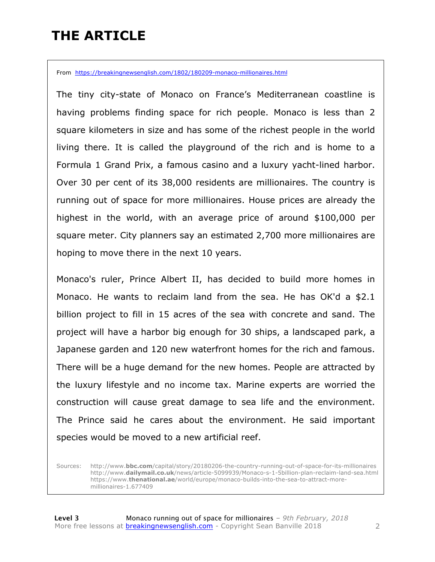## **THE ARTICLE**

From https://breakingnewsenglish.com/1802/180209-monaco-millionaires.html

The tiny city-state of Monaco on France's Mediterranean coastline is having problems finding space for rich people. Monaco is less than 2 square kilometers in size and has some of the richest people in the world living there. It is called the playground of the rich and is home to a Formula 1 Grand Prix, a famous casino and a luxury yacht-lined harbor. Over 30 per cent of its 38,000 residents are millionaires. The country is running out of space for more millionaires. House prices are already the highest in the world, with an average price of around \$100,000 per square meter. City planners say an estimated 2,700 more millionaires are hoping to move there in the next 10 years.

Monaco's ruler, Prince Albert II, has decided to build more homes in Monaco. He wants to reclaim land from the sea. He has OK'd a \$2.1 billion project to fill in 15 acres of the sea with concrete and sand. The project will have a harbor big enough for 30 ships, a landscaped park, a Japanese garden and 120 new waterfront homes for the rich and famous. There will be a huge demand for the new homes. People are attracted by the luxury lifestyle and no income tax. Marine experts are worried the construction will cause great damage to sea life and the environment. The Prince said he cares about the environment. He said important species would be moved to a new artificial reef.

Sources: http://www.**bbc.com**/capital/story/20180206-the-country-running-out-of-space-for-its-millionaires http://www.**dailymail.co.uk**/news/article-5099939/Monaco-s-1-5billion-plan-reclaim-land-sea.html https://www.**thenational.ae**/world/europe/monaco-builds-into-the-sea-to-attract-moremillionaires-1.677409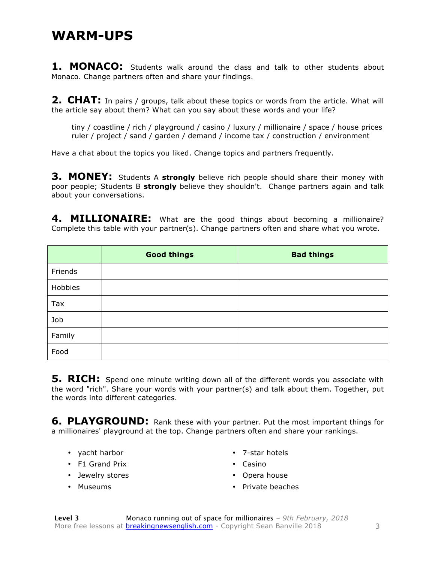#### **WARM-UPS**

**1. MONACO:** Students walk around the class and talk to other students about Monaco. Change partners often and share your findings.

**2. CHAT:** In pairs / groups, talk about these topics or words from the article. What will the article say about them? What can you say about these words and your life?

tiny / coastline / rich / playground / casino / luxury / millionaire / space / house prices ruler / project / sand / garden / demand / income tax / construction / environment

Have a chat about the topics you liked. Change topics and partners frequently.

**3. MONEY:** Students A **strongly** believe rich people should share their money with poor people; Students B **strongly** believe they shouldn't. Change partners again and talk about your conversations.

4. MILLIONAIRE: What are the good things about becoming a millionaire? Complete this table with your partner(s). Change partners often and share what you wrote.

|         | <b>Good things</b> | <b>Bad things</b> |
|---------|--------------------|-------------------|
| Friends |                    |                   |
| Hobbies |                    |                   |
| Tax     |                    |                   |
| Job     |                    |                   |
| Family  |                    |                   |
| Food    |                    |                   |

**5. RICH:** Spend one minute writing down all of the different words you associate with the word "rich". Share your words with your partner(s) and talk about them. Together, put the words into different categories.

**6. PLAYGROUND:** Rank these with your partner. Put the most important things for a millionaires' playground at the top. Change partners often and share your rankings.

- yacht harbor
- F1 Grand Prix
- Jewelry stores
- Museums
- 7-star hotels
- Casino
- Opera house
- Private beaches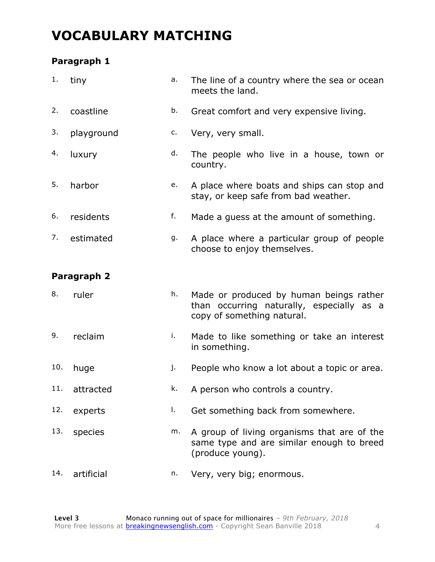### **VOCABULARY MATCHING**

#### **Paragraph 1**

| 1.  | tiny        | a. | The line of a country where the sea or ocean<br>meets the land.                                                    |
|-----|-------------|----|--------------------------------------------------------------------------------------------------------------------|
| 2.  | coastline   | b. | Great comfort and very expensive living.                                                                           |
| 3.  | playground  | c. | Very, very small.                                                                                                  |
| 4.  | luxury      | d. | The people who live in a house, town or<br>country.                                                                |
| 5.  | harbor      | e. | A place where boats and ships can stop and<br>stay, or keep safe from bad weather.                                 |
| 6.  | residents   | f. | Made a guess at the amount of something.                                                                           |
| 7.  | estimated   | g. | A place where a particular group of people<br>choose to enjoy themselves.                                          |
|     | Paragraph 2 |    |                                                                                                                    |
| 8.  | ruler       | h. | Made or produced by human beings rather<br>than occurring naturally, especially as a<br>copy of something natural. |
| 9.  | reclaim     | i. | Made to like something or take an interest<br>in something.                                                        |
| 10. | huge        | j. | People who know a lot about a topic or area.                                                                       |
| 11. | attracted   | k. | A person who controls a country.                                                                                   |
| 12. | experts     | Τ. | Get something back from somewhere.                                                                                 |
| 13. | species     | m. | A group of living organisms that are of the<br>same type and are similar enough to breed<br>(produce young).       |
| 14. | artificial  | n. | Very, very big; enormous.                                                                                          |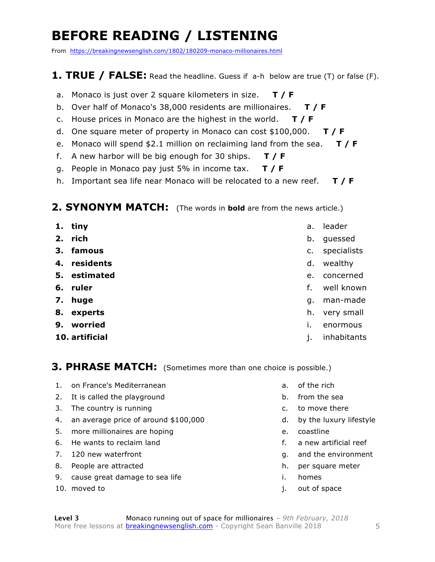## **BEFORE READING / LISTENING**

From https://breakingnewsenglish.com/1802/180209-monaco-millionaires.html

#### **1. TRUE / FALSE:** Read the headline. Guess if a-h below are true (T) or false (F).

- a. Monaco is just over 2 square kilometers in size. **T / F**
- b. Over half of Monaco's 38,000 residents are millionaires. **T / F**
- c. House prices in Monaco are the highest in the world. **T / F**
- d. One square meter of property in Monaco can cost \$100,000. **T / F**
- e. Monaco will spend \$2.1 million on reclaiming land from the sea. **T / F**
- f. A new harbor will be big enough for 30 ships. **T / F**
- g. People in Monaco pay just 5% in income tax. **T / F**
- h. Important sea life near Monaco will be relocated to a new reef. **T / F**

#### **2. SYNONYM MATCH:** (The words in **bold** are from the news article.)

| 1. tiny        | a.             | leader      |
|----------------|----------------|-------------|
| 2. rich        | b.             | guessed     |
| 3. famous      | $\mathsf{C}$ . | specialists |
| 4. residents   | d.             | wealthy     |
| 5. estimated   | e.             | concerned   |
| 6. ruler       | f.             | well known  |
| 7. huge        | g.             | man-made    |
| 8. experts     | h.             | very small  |
| 9. worried     |                | enormous    |
| 10. artificial |                | inhabitants |
|                |                |             |

**3. PHRASE MATCH:** (Sometimes more than one choice is possible.)

- 1. on France's Mediterranean
- 2. It is called the playground
- 3. The country is running
- 4. an average price of around \$100,000
- 5. more millionaires are hoping
- 6. He wants to reclaim land
- 7. 120 new waterfront
- 8. People are attracted
- 9. cause great damage to sea life
- 10. moved to
- a. of the rich
- b. from the sea
- c. to move there
- d. by the luxury lifestyle
- e. coastline
- f. a new artificial reef
- g. and the environment
- h. per square meter
- i. homes
- j. out of space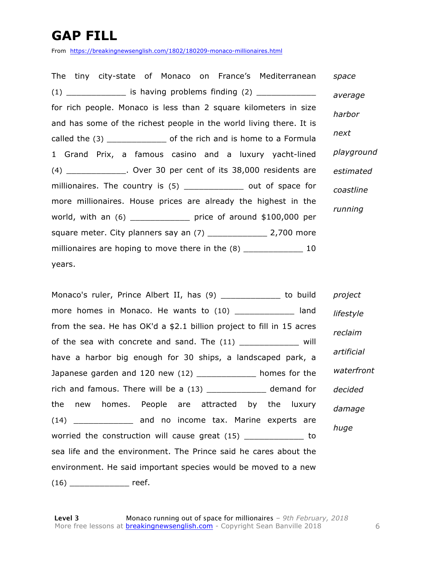## **GAP FILL**

From https://breakingnewsenglish.com/1802/180209-monaco-millionaires.html

The tiny city-state of Monaco on France's Mediterranean (1) \_\_\_\_\_\_\_\_\_\_\_\_ is having problems finding (2) \_\_\_\_\_\_\_\_\_\_\_\_ for rich people. Monaco is less than 2 square kilometers in size and has some of the richest people in the world living there. It is called the (3) \_\_\_\_\_\_\_\_\_\_\_\_ of the rich and is home to a Formula 1 Grand Prix, a famous casino and a luxury yacht-lined (4) \_\_\_\_\_\_\_\_\_\_\_\_. Over 30 per cent of its 38,000 residents are millionaires. The country is (5) \_\_\_\_\_\_\_\_\_\_\_\_\_ out of space for more millionaires. House prices are already the highest in the world, with an (6) \_\_\_\_\_\_\_\_\_\_\_\_ price of around \$100,000 per square meter. City planners say an  $(7)$  \_\_\_\_\_\_\_\_\_\_\_\_\_\_\_\_ 2,700 more millionaires are hoping to move there in the (8) \_\_\_\_\_\_\_\_\_\_\_\_\_\_\_ 10 years. *space average harbor next playground estimated coastline running*

Monaco's ruler, Prince Albert II, has (9) \_\_\_\_\_\_\_\_\_\_\_\_\_ to build more homes in Monaco. He wants to (10) \_\_\_\_\_\_\_\_\_\_\_\_\_ land from the sea. He has OK'd a \$2.1 billion project to fill in 15 acres of the sea with concrete and sand. The (11) \_\_\_\_\_\_\_\_\_\_\_\_\_\_ will have a harbor big enough for 30 ships, a landscaped park, a Japanese garden and 120 new (12) \_\_\_\_\_\_\_\_\_\_\_\_ homes for the rich and famous. There will be a  $(13)$  \_\_\_\_\_\_\_\_\_\_\_\_\_ demand for the new homes. People are attracted by the luxury (14) \_\_\_\_\_\_\_\_\_\_\_\_ and no income tax. Marine experts are worried the construction will cause great (15) by to sea life and the environment. The Prince said he cares about the environment. He said important species would be moved to a new  $(16)$  reef. *project lifestyle reclaim artificial waterfront decided damage huge*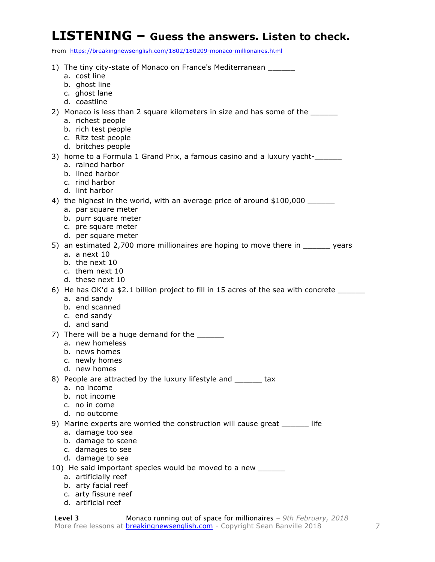#### **LISTENING – Guess the answers. Listen to check.**

From https://breakingnewsenglish.com/1802/180209-monaco-millionaires.html

| 1) The tiny city-state of Monaco on France's Mediterranean ______<br>a. cost line<br>b. ghost line<br>c. ghost lane<br>d. coastline                                         |
|-----------------------------------------------------------------------------------------------------------------------------------------------------------------------------|
| 2) Monaco is less than 2 square kilometers in size and has some of the ______<br>a. richest people<br>b. rich test people<br>c. Ritz test people<br>d. britches people      |
| 3) home to a Formula 1 Grand Prix, a famous casino and a luxury yacht-<br>a. rained harbor<br>b. lined harbor<br>c. rind harbor<br>d. lint harbor                           |
| 4) the highest in the world, with an average price of around \$100,000 _______<br>a. par square meter<br>b. purr square meter<br>c. pre square meter<br>d. per square meter |
| 5) an estimated 2,700 more millionaires are hoping to move there in _______ years<br>a. a next $10$<br>b. the next 10<br>c. them next 10<br>d. these next 10                |
| 6) He has OK'd a \$2.1 billion project to fill in 15 acres of the sea with concrete ____<br>a. and sandy<br>b. end scanned<br>c. end sandy<br>d. and sand                   |
| 7) There will be a huge demand for the ________<br>a. new homeless<br>b. news homes<br>c. newly homes<br>d. new homes                                                       |
| 8) People are attracted by the luxury lifestyle and _______ tax<br>a. no income<br>b. not income<br>c. no in come<br>d. no outcome                                          |
| 9) Marine experts are worried the construction will cause great ______ life<br>a. damage too sea<br>b. damage to scene<br>c. damages to see<br>d. damage to sea             |
| 10) He said important species would be moved to a new _______<br>a. artificially reef<br>b. arty facial reef<br>c. arty fissure reef                                        |

d. artificial reef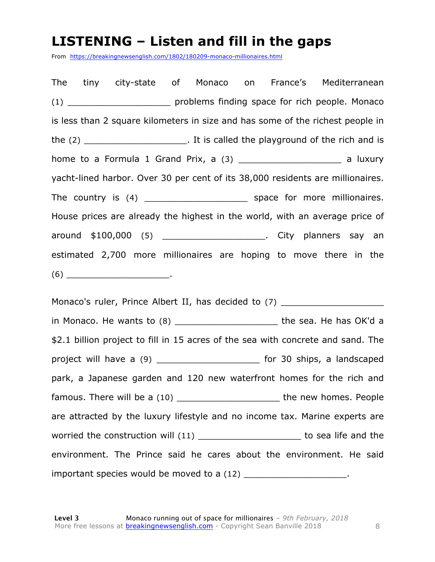#### **LISTENING – Listen and fill in the gaps**

From https://breakingnewsenglish.com/1802/180209-monaco-millionaires.html

The tiny city-state of Monaco on France's Mediterranean (1) The problems finding space for rich people. Monaco is less than 2 square kilometers in size and has some of the richest people in the (2) \_\_\_\_\_\_\_\_\_\_\_\_\_\_\_\_\_\_\_. It is called the playground of the rich and is home to a Formula 1 Grand Prix, a (3) \_\_\_\_\_\_\_\_\_\_\_\_\_\_\_\_\_\_\_\_\_\_\_\_ a luxury yacht-lined harbor. Over 30 per cent of its 38,000 residents are millionaires. The country is (4) The country is (4) and the space for more millionaires. House prices are already the highest in the world, with an average price of around \$100,000 (5) \_\_\_\_\_\_\_\_\_\_\_\_\_\_\_\_\_\_\_\_\_\_. City planners say an estimated 2,700 more millionaires are hoping to move there in the  $(6)$ 

Monaco's ruler, Prince Albert II, has decided to (7) \_\_\_\_\_\_\_\_\_\_\_\_\_\_\_\_\_\_\_\_\_\_\_\_\_\_\_ in Monaco. He wants to (8) exactled the sea. He has OK'd a \$2.1 billion project to fill in 15 acres of the sea with concrete and sand. The project will have a (9) \_\_\_\_\_\_\_\_\_\_\_\_\_\_\_\_\_\_\_\_\_\_\_\_ for 30 ships, a landscaped park, a Japanese garden and 120 new waterfront homes for the rich and famous. There will be a (10) \_\_\_\_\_\_\_\_\_\_\_\_\_\_\_\_\_\_\_\_\_\_\_\_\_\_ the new homes. People are attracted by the luxury lifestyle and no income tax. Marine experts are worried the construction will (11) and the sea life and the environment. The Prince said he cares about the environment. He said important species would be moved to a (12) \_\_\_\_\_\_\_\_\_\_\_\_\_\_\_\_\_\_\_\_\_\_.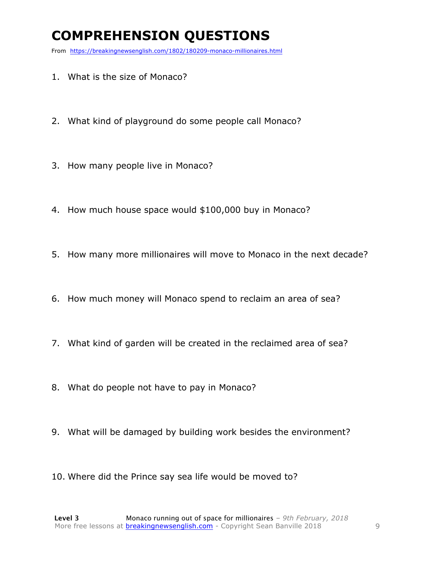## **COMPREHENSION QUESTIONS**

From https://breakingnewsenglish.com/1802/180209-monaco-millionaires.html

- 1. What is the size of Monaco?
- 2. What kind of playground do some people call Monaco?
- 3. How many people live in Monaco?
- 4. How much house space would \$100,000 buy in Monaco?
- 5. How many more millionaires will move to Monaco in the next decade?
- 6. How much money will Monaco spend to reclaim an area of sea?
- 7. What kind of garden will be created in the reclaimed area of sea?
- 8. What do people not have to pay in Monaco?
- 9. What will be damaged by building work besides the environment?
- 10. Where did the Prince say sea life would be moved to?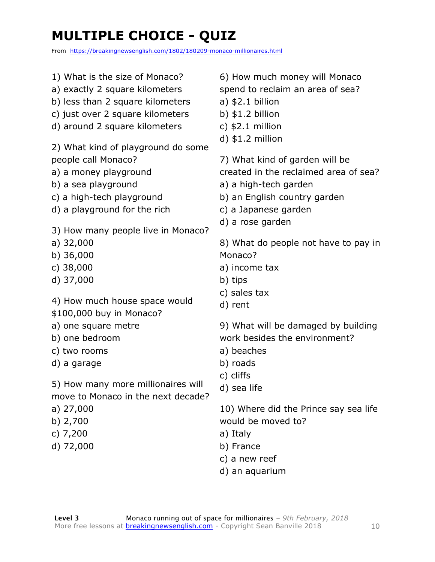## **MULTIPLE CHOICE - QUIZ**

From https://breakingnewsenglish.com/1802/180209-monaco-millionaires.html

| 1) What is the size of Monaco?     | 6) How much money will Monaco         |
|------------------------------------|---------------------------------------|
| a) exactly 2 square kilometers     | spend to reclaim an area of sea?      |
| b) less than 2 square kilometers   | $a)$ \$2.1 billion                    |
| c) just over 2 square kilometers   | b) $$1.2$ billion                     |
| d) around 2 square kilometers      | c) $$2.1$ million                     |
|                                    | $d)$ \$1.2 million                    |
| 2) What kind of playground do some |                                       |
| people call Monaco?                | 7) What kind of garden will be        |
| a) a money playground              | created in the reclaimed area of sea? |
| b) a sea playground                | a) a high-tech garden                 |
| c) a high-tech playground          | b) an English country garden          |
| d) a playground for the rich       | c) a Japanese garden                  |
| 3) How many people live in Monaco? | d) a rose garden                      |
| a) $32,000$                        | 8) What do people not have to pay in  |
| b) $36,000$                        | Monaco?                               |
| c) $38,000$                        | a) income tax                         |
| d) 37,000                          | b) tips                               |
|                                    | c) sales tax                          |
| 4) How much house space would      | d) rent                               |
| \$100,000 buy in Monaco?           |                                       |
| a) one square metre                | 9) What will be damaged by building   |
| b) one bedroom                     | work besides the environment?         |
| c) two rooms                       | a) beaches                            |
| d) a garage                        | b) roads                              |
|                                    | c) cliffs                             |
| 5) How many more millionaires will | d) sea life                           |
| move to Monaco in the next decade? |                                       |
| a) $27,000$                        | 10) Where did the Prince say sea life |
| b) $2,700$                         | would be moved to?                    |
| c) $7,200$                         | a) Italy                              |
| d) 72,000                          | b) France                             |

**Level 3** Monaco running out of space for millionaires *– 9th February, 2018* More free lessons at **breakingnewsenglish.com** - Copyright Sean Banville 2018

c) a new reef d) an aquarium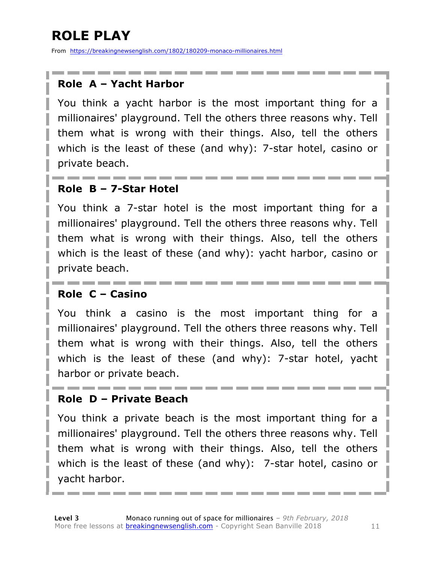## **ROLE PLAY**

From https://breakingnewsenglish.com/1802/180209-monaco-millionaires.html

#### **Role A – Yacht Harbor**

You think a yacht harbor is the most important thing for a millionaires' playground. Tell the others three reasons why. Tell them what is wrong with their things. Also, tell the others which is the least of these (and why): 7-star hotel, casino or private beach.

#### **Role B – 7-Star Hotel**

You think a 7-star hotel is the most important thing for a millionaires' playground. Tell the others three reasons why. Tell them what is wrong with their things. Also, tell the others which is the least of these (and why): yacht harbor, casino or private beach.

#### **Role C – Casino**

You think a casino is the most important thing for a millionaires' playground. Tell the others three reasons why. Tell them what is wrong with their things. Also, tell the others which is the least of these (and why): 7-star hotel, yacht harbor or private beach.

#### **Role D – Private Beach**

You think a private beach is the most important thing for a millionaires' playground. Tell the others three reasons why. Tell them what is wrong with their things. Also, tell the others which is the least of these (and why): 7-star hotel, casino or yacht harbor.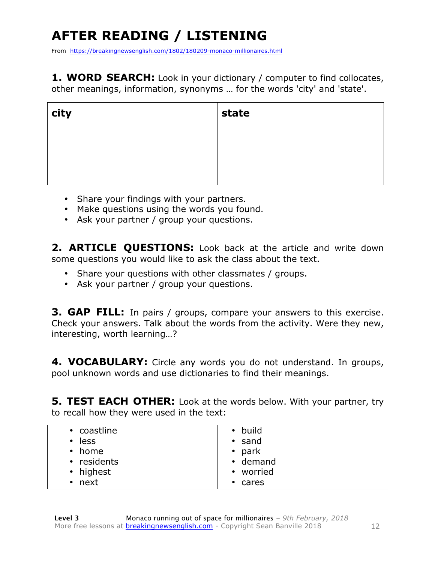## **AFTER READING / LISTENING**

From https://breakingnewsenglish.com/1802/180209-monaco-millionaires.html

**1. WORD SEARCH:** Look in your dictionary / computer to find collocates, other meanings, information, synonyms … for the words 'city' and 'state'.

| city | state |
|------|-------|
|      |       |
|      |       |
|      |       |

- Share your findings with your partners.
- Make questions using the words you found.
- Ask your partner / group your questions.

2. **ARTICLE OUESTIONS:** Look back at the article and write down some questions you would like to ask the class about the text.

- Share your questions with other classmates / groups.
- Ask your partner / group your questions.

**3. GAP FILL:** In pairs / groups, compare your answers to this exercise. Check your answers. Talk about the words from the activity. Were they new, interesting, worth learning…?

4. VOCABULARY: Circle any words you do not understand. In groups, pool unknown words and use dictionaries to find their meanings.

**5. TEST EACH OTHER:** Look at the words below. With your partner, try to recall how they were used in the text:

| • build        |
|----------------|
| $\cdot$ sand   |
| $\bullet$ park |
| $\cdot$ demand |
| • worried      |
| $\cdot$ cares  |
|                |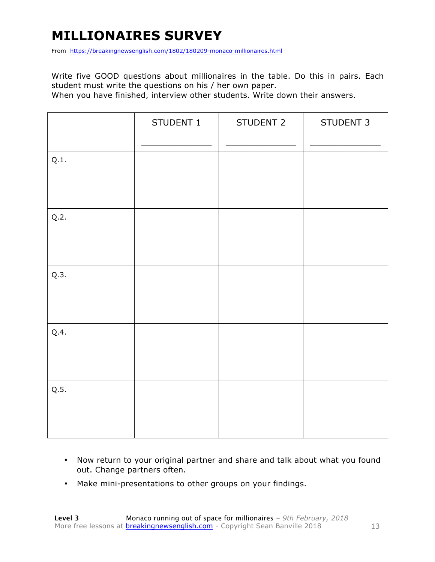## **MILLIONAIRES SURVEY**

From https://breakingnewsenglish.com/1802/180209-monaco-millionaires.html

Write five GOOD questions about millionaires in the table. Do this in pairs. Each student must write the questions on his / her own paper.

When you have finished, interview other students. Write down their answers.

|      | STUDENT 1 | STUDENT 2 | STUDENT 3 |
|------|-----------|-----------|-----------|
| Q.1. |           |           |           |
| Q.2. |           |           |           |
| Q.3. |           |           |           |
| Q.4. |           |           |           |
| Q.5. |           |           |           |

- Now return to your original partner and share and talk about what you found out. Change partners often.
- Make mini-presentations to other groups on your findings.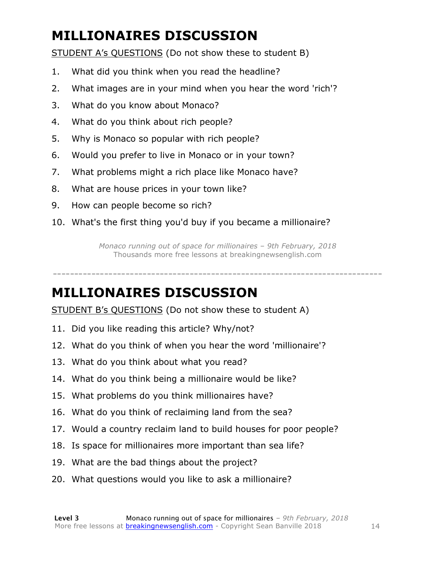## **MILLIONAIRES DISCUSSION**

STUDENT A's QUESTIONS (Do not show these to student B)

- 1. What did you think when you read the headline?
- 2. What images are in your mind when you hear the word 'rich'?
- 3. What do you know about Monaco?
- 4. What do you think about rich people?
- 5. Why is Monaco so popular with rich people?
- 6. Would you prefer to live in Monaco or in your town?
- 7. What problems might a rich place like Monaco have?
- 8. What are house prices in your town like?
- 9. How can people become so rich?
- 10. What's the first thing you'd buy if you became a millionaire?

*Monaco running out of space for millionaires – 9th February, 2018* Thousands more free lessons at breakingnewsenglish.com

-----------------------------------------------------------------------------

#### **MILLIONAIRES DISCUSSION**

STUDENT B's QUESTIONS (Do not show these to student A)

- 11. Did you like reading this article? Why/not?
- 12. What do you think of when you hear the word 'millionaire'?
- 13. What do you think about what you read?
- 14. What do you think being a millionaire would be like?
- 15. What problems do you think millionaires have?
- 16. What do you think of reclaiming land from the sea?
- 17. Would a country reclaim land to build houses for poor people?
- 18. Is space for millionaires more important than sea life?
- 19. What are the bad things about the project?
- 20. What questions would you like to ask a millionaire?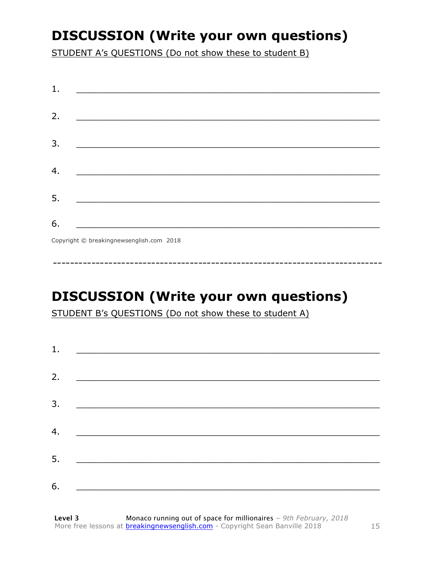## **DISCUSSION (Write your own questions)**

STUDENT A's QUESTIONS (Do not show these to student B)

| 1. |                                                                                                                      |
|----|----------------------------------------------------------------------------------------------------------------------|
| 2. |                                                                                                                      |
|    | <u> 1989 - Johann John Stone, mars eta bat eta bat eta bat eta bat eta bat eta bat eta bat eta bat eta bat eta b</u> |
| 3. |                                                                                                                      |
|    |                                                                                                                      |
| 4. |                                                                                                                      |
| 5. | <u> 1989 - Johann John Stone, meilich aus der Stone († 1950)</u>                                                     |
|    |                                                                                                                      |
| 6. |                                                                                                                      |
|    | Convright @ hreakingnewcanglish com 2018                                                                             |

Copyright © breakingnewsenglish.com 2018

## **DISCUSSION (Write your own questions)**

STUDENT B's QUESTIONS (Do not show these to student A)

| 1. |                                                                                                                      |  |  |
|----|----------------------------------------------------------------------------------------------------------------------|--|--|
|    |                                                                                                                      |  |  |
| 2. | <u> 1989 - Jan James James, politik eta idazleari eta idazlea (h. 1989).</u>                                         |  |  |
| 3. |                                                                                                                      |  |  |
|    |                                                                                                                      |  |  |
| 4. | <u> 1989 - Johann John Stein, mars ar yw i brenin y brenin y brenin y brenin y brenin y brenin y brenin y brenin</u> |  |  |
| 5. | <u> 1980 - Johann Barbara, martin amerikan ba</u>                                                                    |  |  |
|    |                                                                                                                      |  |  |
| 6. |                                                                                                                      |  |  |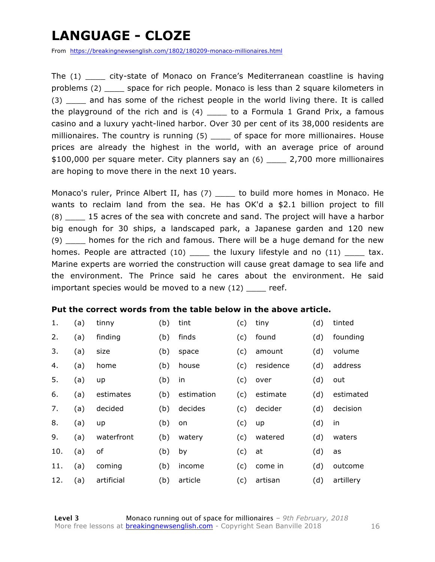## **LANGUAGE - CLOZE**

From https://breakingnewsenglish.com/1802/180209-monaco-millionaires.html

The (1) \_\_\_\_ city-state of Monaco on France's Mediterranean coastline is having problems (2) \_\_\_\_ space for rich people. Monaco is less than 2 square kilometers in (3) and has some of the richest people in the world living there. It is called the playground of the rich and is  $(4)$  \_\_\_\_ to a Formula 1 Grand Prix, a famous casino and a luxury yacht-lined harbor. Over 30 per cent of its 38,000 residents are millionaires. The country is running (5) \_\_\_\_ of space for more millionaires. House prices are already the highest in the world, with an average price of around \$100,000 per square meter. City planners say an (6) \_\_\_\_ 2,700 more millionaires are hoping to move there in the next 10 years.

Monaco's ruler, Prince Albert II, has (7) \_\_\_\_\_ to build more homes in Monaco. He wants to reclaim land from the sea. He has OK'd a \$2.1 billion project to fill (8) \_\_\_\_ 15 acres of the sea with concrete and sand. The project will have a harbor big enough for 30 ships, a landscaped park, a Japanese garden and 120 new (9) \_\_\_\_ homes for the rich and famous. There will be a huge demand for the new homes. People are attracted (10) be the luxury lifestyle and no (11) tax. Marine experts are worried the construction will cause great damage to sea life and the environment. The Prince said he cares about the environment. He said important species would be moved to a new (12) \_\_\_\_ reef.

#### **Put the correct words from the table below in the above article.**

| 1.  | (a) | tinny      | (b) | tint       | (c) | tiny      | (d) | tinted    |
|-----|-----|------------|-----|------------|-----|-----------|-----|-----------|
| 2.  | (a) | finding    | (b) | finds      | (c) | found     | (d) | founding  |
| 3.  | (a) | size       | (b) | space      | (c) | amount    | (d) | volume    |
| 4.  | (a) | home       | (b) | house      | (c) | residence | (d) | address   |
| 5.  | (a) | up         | (b) | in         | (c) | over      | (d) | out       |
| 6.  | (a) | estimates  | (b) | estimation | (c) | estimate  | (d) | estimated |
| 7.  | (a) | decided    | (b) | decides    | (c) | decider   | (d) | decision  |
| 8.  | (a) | up         | (b) | on         | (c) | up        | (d) | in        |
| 9.  | (a) | waterfront | (b) | watery     | (c) | watered   | (d) | waters    |
| 10. | (a) | оf         | (b) | by         | (c) | at        | (d) | as        |
| 11. | (a) | coming     | (b) | income     | (c) | come in   | (d) | outcome   |
| 12. | (a) | artificial | (b) | article    | (c) | artisan   | (d) | artillery |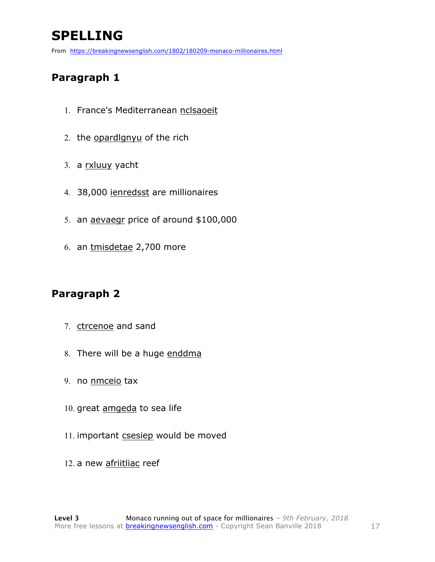## **SPELLING**

From https://breakingnewsenglish.com/1802/180209-monaco-millionaires.html

#### **Paragraph 1**

- 1. France's Mediterranean nclsaoeit
- 2. the opardlgnyu of the rich
- 3. a rxluuy yacht
- 4. 38,000 ienredsst are millionaires
- 5. an aevaegr price of around \$100,000
- 6. an tmisdetae 2,700 more

#### **Paragraph 2**

- 7. ctrcenoe and sand
- 8. There will be a huge enddma
- 9. no nmceio tax
- 10. great amgeda to sea life
- 11. important csesiep would be moved
- 12. a new afriitliac reef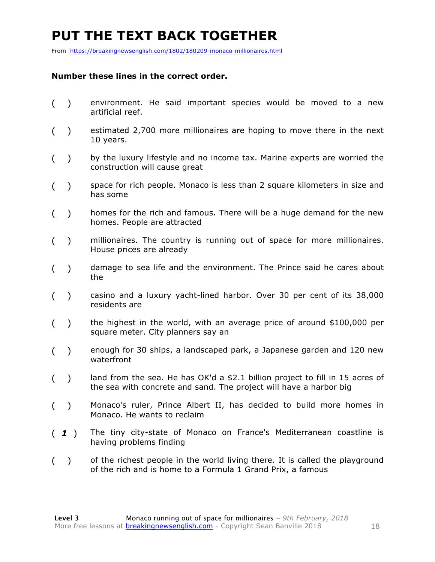## **PUT THE TEXT BACK TOGETHER**

From https://breakingnewsenglish.com/1802/180209-monaco-millionaires.html

#### **Number these lines in the correct order.**

- ( ) environment. He said important species would be moved to a new artificial reef.
- ( ) estimated 2,700 more millionaires are hoping to move there in the next 10 years.
- ( ) by the luxury lifestyle and no income tax. Marine experts are worried the construction will cause great
- ( ) space for rich people. Monaco is less than 2 square kilometers in size and has some
- ( ) homes for the rich and famous. There will be a huge demand for the new homes. People are attracted
- ( ) millionaires. The country is running out of space for more millionaires. House prices are already
- ( ) damage to sea life and the environment. The Prince said he cares about the
- ( ) casino and a luxury yacht-lined harbor. Over 30 per cent of its 38,000 residents are
- ( ) the highest in the world, with an average price of around \$100,000 per square meter. City planners say an
- ( ) enough for 30 ships, a landscaped park, a Japanese garden and 120 new waterfront
- () land from the sea. He has OK'd a \$2.1 billion project to fill in 15 acres of the sea with concrete and sand. The project will have a harbor big
- ( ) Monaco's ruler, Prince Albert II, has decided to build more homes in Monaco. He wants to reclaim
- ( *1* ) The tiny city-state of Monaco on France's Mediterranean coastline is having problems finding
- ( ) of the richest people in the world living there. It is called the playground of the rich and is home to a Formula 1 Grand Prix, a famous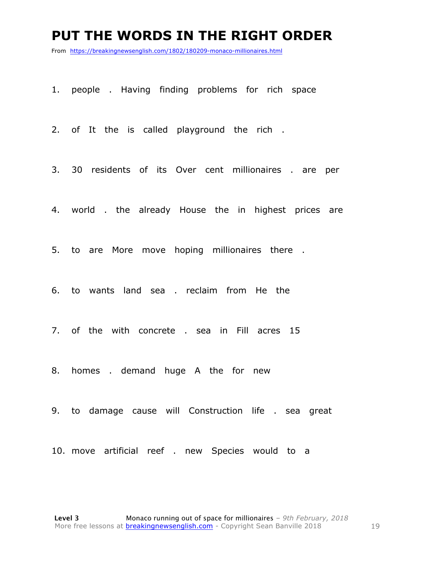#### **PUT THE WORDS IN THE RIGHT ORDER**

From https://breakingnewsenglish.com/1802/180209-monaco-millionaires.html

1. people . Having finding problems for rich space

2. of It the is called playground the rich .

- 3. 30 residents of its Over cent millionaires . are per
- 4. world . the already House the in highest prices are

5. to are More move hoping millionaires there .

- 6. to wants land sea . reclaim from He the
- 7. of the with concrete . sea in Fill acres 15
- 8. homes . demand huge A the for new
- 9. to damage cause will Construction life . sea great
- 10. move artificial reef . new Species would to a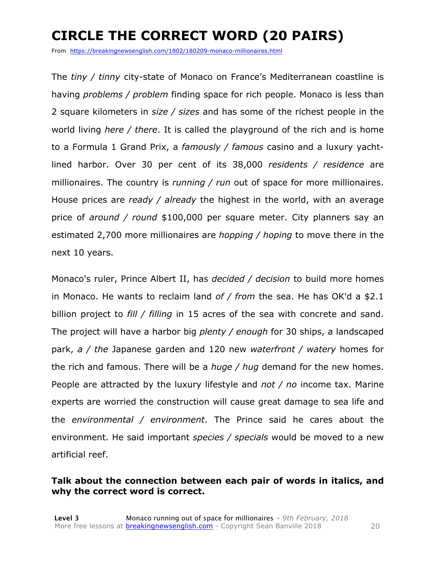## **CIRCLE THE CORRECT WORD (20 PAIRS)**

From https://breakingnewsenglish.com/1802/180209-monaco-millionaires.html

The *tiny / tinny* city-state of Monaco on France's Mediterranean coastline is having *problems / problem* finding space for rich people. Monaco is less than 2 square kilometers in *size / sizes* and has some of the richest people in the world living *here / there*. It is called the playground of the rich and is home to a Formula 1 Grand Prix, a *famously / famous* casino and a luxury yachtlined harbor. Over 30 per cent of its 38,000 *residents / residence* are millionaires. The country is *running / run* out of space for more millionaires. House prices are *ready / already* the highest in the world, with an average price of *around / round* \$100,000 per square meter. City planners say an estimated 2,700 more millionaires are *hopping / hoping* to move there in the next 10 years.

Monaco's ruler, Prince Albert II, has *decided / decision* to build more homes in Monaco. He wants to reclaim land *of / from* the sea. He has OK'd a \$2.1 billion project to *fill / filling* in 15 acres of the sea with concrete and sand. The project will have a harbor big *plenty / enough* for 30 ships, a landscaped park, *a / the* Japanese garden and 120 new *waterfront / watery* homes for the rich and famous. There will be a *huge / hug* demand for the new homes. People are attracted by the luxury lifestyle and *not / no* income tax. Marine experts are worried the construction will cause great damage to sea life and the *environmental / environment*. The Prince said he cares about the environment. He said important *species / specials* would be moved to a new artificial reef.

#### **Talk about the connection between each pair of words in italics, and why the correct word is correct.**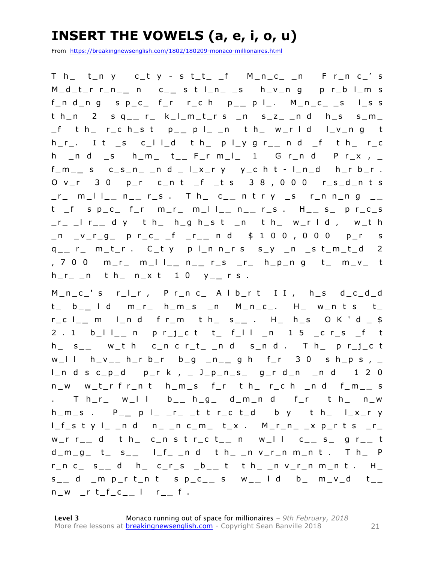### **INSERT THE VOWELS (a, e, i, o, u)**

From https://breakingnewsenglish.com/1802/180209-monaco-millionaires.html

 $T$  h\_ t\_n y c\_t y - s t\_t\_ \_f  $M_n$ \_c\_ \_n F r\_n c\_' s M\_d\_t\_r r\_n\_ **\_** n c\_ **\_** s t l\_n\_ \_s h\_v\_n g p r\_b l\_m s  $f_n d_n g$  s  $p_c$   $f_r$   $r_c h$   $p_{-}$   $p l_{-}$ .  $M_n c_{-}$   $s$   $l_{-} s$  s t h\_n 2 s q\_ **\_** r\_ k\_l\_m\_t\_r s \_n s\_z\_ \_n d h\_s s\_m\_ \_f t h\_ r\_c h\_s t p\_ **\_** p l\_ \_n t h\_ w\_r l d l\_v\_n g t h\_r\_. I t \_s c\_l l\_d t h\_ p l\_y g r\_ **\_** n d \_f t h\_ r\_c h \_n d \_s h\_m\_ t\_\_ F\_r m\_l\_ 1 G r\_n d P r\_x , \_ f\_m\_ **\_** s c\_s\_n\_ \_n d \_ l\_x\_r y y\_c h t - l\_n\_d h\_r b\_r . O v\_r 3 0 p\_r c\_n t \_f \_t s 3 8 , 0 0 0 r\_s\_d\_n t s \_r\_ m\_l l\_ **\_** n \_ **\_** r\_s . T h\_ c\_ **\_** n t r y \_s r\_n n\_n g \_ **\_**  t \_f s p\_c\_ f\_r m\_r\_ m\_l l\_ **\_** n \_ **\_** r\_s . H\_ **\_** s\_ p r\_c\_s \_r\_ \_l r\_ **\_** d y t h\_ h\_g h\_s t \_n t h\_ w\_r l d , w\_t h \_n \_v\_r\_g\_ p r\_c\_ \_f \_r\_ **\_** n d \$ 1 0 0 , 0 0 0 p\_r s q \_ **\_** r\_ m\_t\_r . C\_t y p l\_n n\_r s s\_y \_n \_s t\_m\_t\_d 2 , 7 0 0 m\_r\_ m\_l l\_ **\_** n \_ **\_** r\_s \_r\_ h\_p\_n g t\_ m\_v\_ t h\_r\_ \_n t h\_ n\_x t 1 0 y\_ **\_** r s .

M\_n\_c\_' s r\_l\_r , P r\_n c\_ A l b\_r t I I , h\_s d\_c\_d\_d t\_ b\_ **\_** l d m\_r\_ h\_m\_s \_n M\_n\_c\_. H\_ w\_n t s t\_ r\_c l\_ **\_** m l\_n d f r\_m t h\_ s\_ **\_** . H\_ h\_s O K ' d \_ \$ 2 . 1 b\_l l\_ **\_** n p r\_j\_c t t\_ f\_l l \_n 1 5 \_c r\_s \_f t h\_ s\_ **\_** w\_t h c\_n c r\_t\_ \_n d s\_n d . T h\_ p r\_j\_c t w\_l l h\_v\_ \_ h\_r b\_r b\_g \_n\_ **\_** g h f\_r 3 0 s h\_p s , \_ l\_n d s c\_p\_d p\_r k , \_ J\_p\_n\_s\_ g\_r d\_n \_n d 1 2 0 n\_w w\_t\_r f r\_n t h\_m\_s f\_r t h\_ r\_c h \_n d f\_m\_ **\_** s . Th\_r\_ w\_l l  $b_{--}$  h\_g\_ d\_m\_n d f\_r th\_ n\_w h\_m\_s . P\_ **\_** p l\_ \_r\_ \_t t r\_c t\_d b y t h\_ l\_x\_r y l\_f\_s t y l\_ \_n d n\_ \_n c\_m\_ t\_x . M\_r\_n\_ \_x p\_r t s \_r\_ w\_r r\_ **\_** d t h\_ c\_n s t r\_c t \_ **\_** n w\_l l c\_ **\_** s\_ g r\_ **\_** t  $d_{m_g} = d_{m_g} = d_{m_g} = d_{m_g} = d_{m_g} = d_{m_g} = d_{m_g} = d_{m_g} = d_{m_g} = d_{m_g} = d_{m_g} = d_{m_g} = d_{m_g} = d_{m_g} = d_{m_g} = d_{m_g} = d_{m_g} = d_{m_g} = d_{m_g} = d_{m_g} = d_{m_g} = d_{m_g} = d_{m_g} = d_{m_g} = d_{m_g} = d_{m_g} = d_{m_g} = d_{m_g} = d_{m_g} = d_{m_g} = d_{m_g} = d_{m_g} = d_{m_g} = d_{m_g} = d_{m_g} = d_{m_g} = d_{m_g$ r\_n c\_ s\_ **\_** d h\_ c\_r\_s \_b\_ **\_** t t h\_ \_n v\_r\_n m\_n t . H\_ s \_ **\_** d \_m p\_r t\_n t s p\_c\_ **\_** s w\_ **\_** l d b\_ m\_v\_d t\_ \_ n\_w \_r t\_f\_c\_ **\_** l r\_ **\_** f .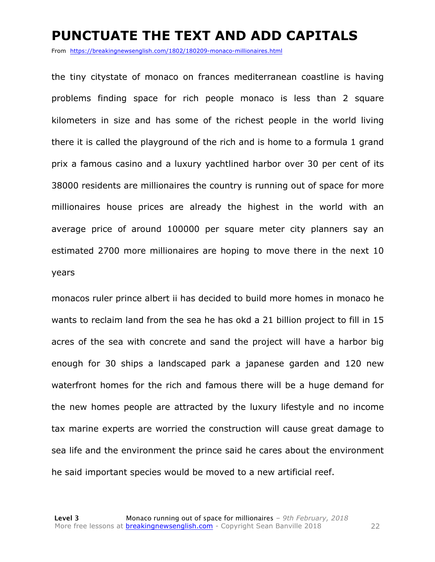#### **PUNCTUATE THE TEXT AND ADD CAPITALS**

From https://breakingnewsenglish.com/1802/180209-monaco-millionaires.html

the tiny citystate of monaco on frances mediterranean coastline is having problems finding space for rich people monaco is less than 2 square kilometers in size and has some of the richest people in the world living there it is called the playground of the rich and is home to a formula 1 grand prix a famous casino and a luxury yachtlined harbor over 30 per cent of its 38000 residents are millionaires the country is running out of space for more millionaires house prices are already the highest in the world with an average price of around 100000 per square meter city planners say an estimated 2700 more millionaires are hoping to move there in the next 10 years

monacos ruler prince albert ii has decided to build more homes in monaco he wants to reclaim land from the sea he has okd a 21 billion project to fill in 15 acres of the sea with concrete and sand the project will have a harbor big enough for 30 ships a landscaped park a japanese garden and 120 new waterfront homes for the rich and famous there will be a huge demand for the new homes people are attracted by the luxury lifestyle and no income tax marine experts are worried the construction will cause great damage to sea life and the environment the prince said he cares about the environment he said important species would be moved to a new artificial reef.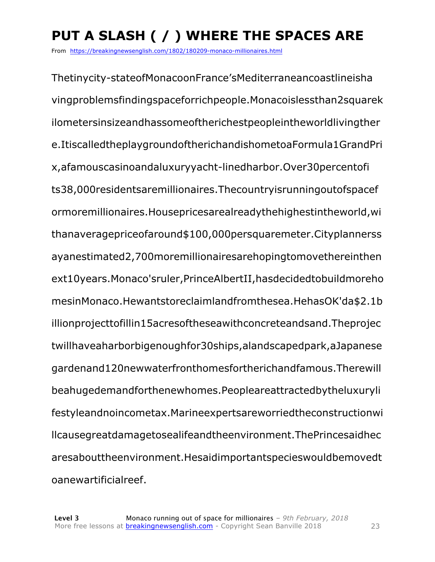## **PUT A SLASH ( / ) WHERE THE SPACES ARE**

From https://breakingnewsenglish.com/1802/180209-monaco-millionaires.html

Thetinycity-stateofMonacoonFrance'sMediterraneancoastlineisha vingproblemsfindingspaceforrichpeople.Monacoislessthan2squarek ilometersinsizeandhassomeoftherichestpeopleintheworldlivingther e.ItiscalledtheplaygroundoftherichandishometoaFormula1GrandPri x,afamouscasinoandaluxuryyacht-linedharbor.Over30percentofi ts38,000residentsaremillionaires.Thecountryisrunningoutofspacef ormoremillionaires.Housepricesarealreadythehighestintheworld,wi thanaveragepriceofaround\$100,000persquaremeter.Cityplannerss ayanestimated2,700moremillionairesarehopingtomovethereinthen ext10years.Monaco'sruler,PrinceAlbertII,hasdecidedtobuildmoreho mesinMonaco.Hewantstoreclaimlandfromthesea.HehasOK'da\$2.1b illionprojecttofillin15acresoftheseawithconcreteandsand.Theprojec twillhaveaharborbigenoughfor30ships,alandscapedpark,aJapanese gardenand120newwaterfronthomesfortherichandfamous.Therewill beahugedemandforthenewhomes.Peopleareattractedbytheluxuryli festyleandnoincometax.Marineexpertsareworriedtheconstructionwi llcausegreatdamagetosealifeandtheenvironment.ThePrincesaidhec aresabouttheenvironment.Hesaidimportantspecieswouldbemovedt oanewartificialreef.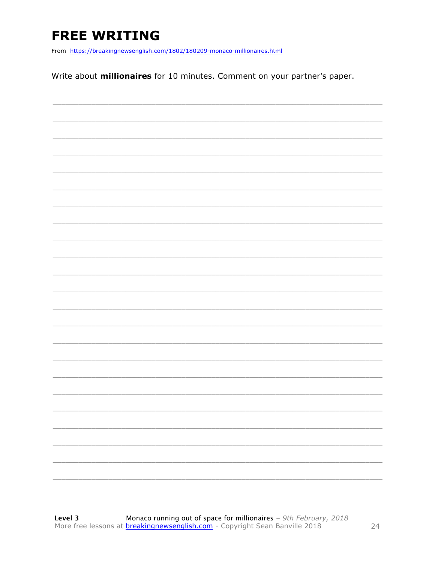## **FREE WRITING**

From https://breakingnewsenglish.com/1802/180209-monaco-millionaires.html

Write about **millionaires** for 10 minutes. Comment on your partner's paper.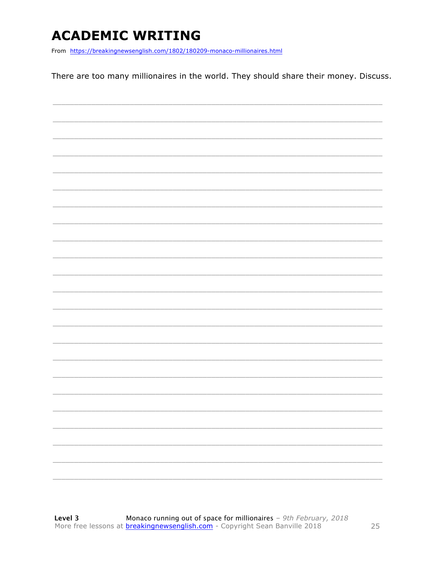## **ACADEMIC WRITING**

From https://breakingnewsenglish.com/1802/180209-monaco-millionaires.html

There are too many millionaires in the world. They should share their money. Discuss.

|  |  | - |
|--|--|---|
|  |  |   |
|  |  |   |
|  |  |   |
|  |  |   |
|  |  |   |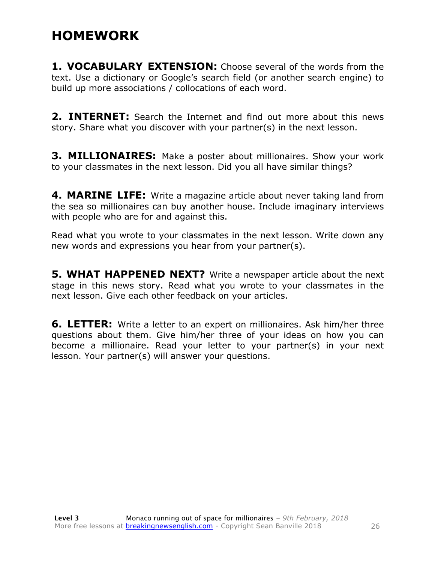#### **HOMEWORK**

**1. VOCABULARY EXTENSION:** Choose several of the words from the text. Use a dictionary or Google's search field (or another search engine) to build up more associations / collocations of each word.

**2. INTERNET:** Search the Internet and find out more about this news story. Share what you discover with your partner(s) in the next lesson.

**3. MILLIONAIRES:** Make a poster about millionaires. Show your work to your classmates in the next lesson. Did you all have similar things?

**4. MARINE LIFE:** Write a magazine article about never taking land from the sea so millionaires can buy another house. Include imaginary interviews with people who are for and against this.

Read what you wrote to your classmates in the next lesson. Write down any new words and expressions you hear from your partner(s).

**5. WHAT HAPPENED NEXT?** Write a newspaper article about the next stage in this news story. Read what you wrote to your classmates in the next lesson. Give each other feedback on your articles.

**6. LETTER:** Write a letter to an expert on millionaires. Ask him/her three questions about them. Give him/her three of your ideas on how you can become a millionaire. Read your letter to your partner(s) in your next lesson. Your partner(s) will answer your questions.